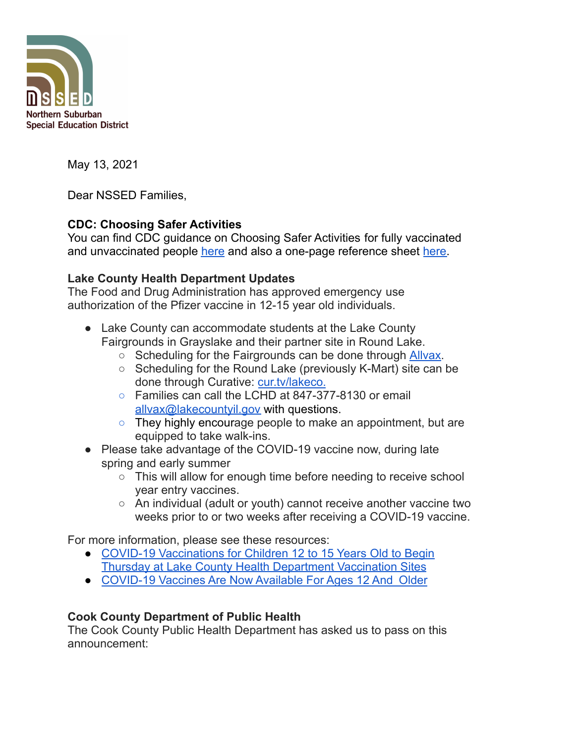

May 13, 2021

Dear NSSED Families,

# **CDC: Choosing Safer Activities**

You can find CDC guidance on Choosing Safer Activities for fully vaccinated and unvaccinated people [here](https://www.cdc.gov/coronavirus/2019-ncov/daily-life-coping/participate-in-activities.html#print) and also a one-page reference sheet [here.](https://www.cdc.gov/coronavirus/2019-ncov/vaccines/pdfs/choosingSaferActivities.pdf)

#### **Lake County Health Department Updates**

The Food and Drug Administration has approved emergency use authorization of the Pfizer vaccine in 12-15 year old individuals.

- Lake County can accommodate students at the Lake County Fairgrounds in Grayslake and their partner site in Round Lake.
	- Scheduling for the Fairgrounds can be done through [Allvax.](https://allvax.lakecohealth.org/s/?language=en_US)
	- Scheduling for the Round Lake (previously K-Mart) site can be done through Curative: [cur.tv/lakeco.](https://gcc02.safelinks.protection.outlook.com/?url=https%3A%2F%2Fcur.tv%2Flakeco&data=04%7C01%7CLBacci%40lakecountyil.gov%7Cb77e7ea8d47c4351a1f708d90a9108a9%7Cdd536cf592fd42ffa754e98666cb7a96%7C0%7C0%7C637552440305501159%7CUnknown%7CTWFpbGZsb3d8eyJWIjoiMC4wLjAwMDAiLCJQIjoiV2luMzIiLCJBTiI6Ik1haWwiLCJXVCI6Mn0%3D%7C1000&sdata=KrNHIn1CrjEam6AXP3RfwsJ4tGitzw33gvVnqgxs%2F1M%3D&reserved=0)
	- Families can call the LCHD at 847-377-8130 or email [allvax@lakecountyil.gov](mailto:allvax@lakecountyil.gov) with questions.
	- They highly encourage people to make an appointment, but are equipped to take walk-ins.
- Please take advantage of the COVID-19 vaccine now, during late spring and early summer
	- This will allow for enough time before needing to receive school year entry vaccines.
	- An individual (adult or youth) cannot receive another vaccine two weeks prior to or two weeks after receiving a COVID-19 vaccine.

For more information, please see these resources:

- COVID-19 [Vaccinations](https://content.govdelivery.com/accounts/ILLAKE/bulletins/2d8acf1) for Children 12 to 15 Years Old to Begin Thursday at Lake County Health [Department](https://content.govdelivery.com/accounts/ILLAKE/bulletins/2d8acf1) Vaccination Sites
- [COVID-19](https://www.lakecountyil.gov/DocumentCenter/View/39987/School-COVID-19-Vaccine-Flyer---English-Spanish) Vaccines Are Now Available For Ages 12 And Older

### **Cook County Department of Public Health**

The Cook County Public Health Department has asked us to pass on this announcement: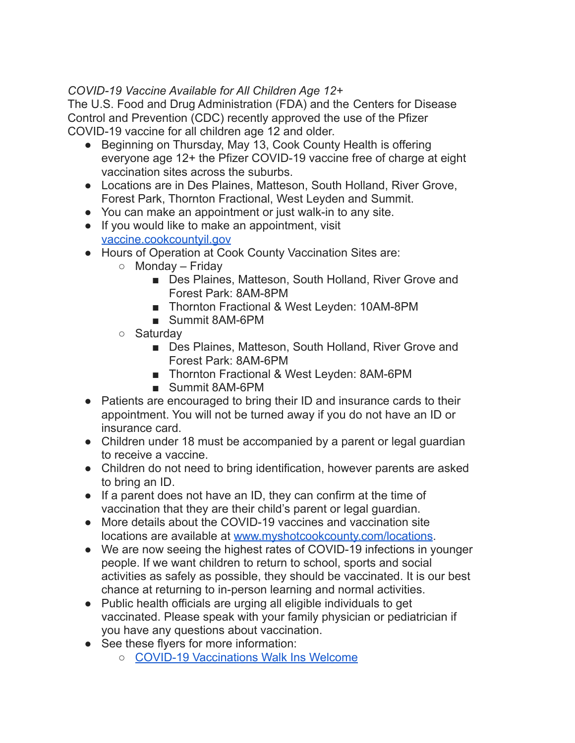# *COVID-19 Vaccine Available for All Children Age 12+*

The U.S. Food and Drug Administration (FDA) and the Centers for Disease Control and Prevention (CDC) recently approved the use of the Pfizer COVID-19 vaccine for all children age 12 and older.

- Beginning on Thursday, May 13, Cook County Health is offering everyone age 12+ the Pfizer COVID-19 vaccine free of charge at eight vaccination sites across the suburbs.
- Locations are in Des Plaines, Matteson, South Holland, River Grove, Forest Park, Thornton Fractional, West Leyden and Summit.
- You can make an appointment or just walk-in to any site.
- If you would like to make an appointment, visit [vaccine.cookcountyil.gov](http://vaccine.cookcountyil.gov/)
- Hours of Operation at Cook County Vaccination Sites are:
	- $\circ$  Monday Friday
		- Des Plaines, Matteson, South Holland, River Grove and Forest Park: 8AM-8PM
		- Thornton Fractional & West Leyden: 10AM-8PM
		- Summit 8AM-6PM
	- Saturdav
		- Des Plaines, Matteson, South Holland, River Grove and Forest Park: 8AM-6PM
		- Thornton Fractional & West Leyden: 8AM-6PM
		- Summit 8AM-6PM
- Patients are encouraged to bring their ID and insurance cards to their appointment. You will not be turned away if you do not have an ID or insurance card.
- Children under 18 must be accompanied by a parent or legal guardian to receive a vaccine.
- Children do not need to bring identification, however parents are asked to bring an ID.
- If a parent does not have an ID, they can confirm at the time of vaccination that they are their child's parent or legal guardian.
- More details about the COVID-19 vaccines and vaccination site locations are available at [www.myshotcookcounty.com/locations](http://www.myshotcookcounty.com/locations).
- We are now seeing the highest rates of COVID-19 infections in younger people. If we want children to return to school, sports and social activities as safely as possible, they should be vaccinated. It is our best chance at returning to in-person learning and normal activities.
- Public health officials are urging all eligible individuals to get vaccinated. Please speak with your family physician or pediatrician if you have any questions about vaccination.
- See these flyers for more information:
	- COVID-19 [Vaccinations](https://myshotcookcounty.com/wp-content/uploads/2021/05/JJ-Walk-ins-Welcome-Flyer-EN-051221.pdf) Walk Ins Welcome